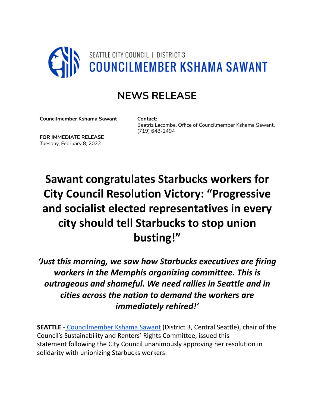

## **NEWS RELEASE**

**Councilmember Kshama Sawant**

**Contact:** Beatriz Lacombe, Office of Councilmember Kshama Sawant, (719) 648-2494

**FOR IMMEDIATE RELEASE** Tuesday, February 8, 2022

## **Sawant congratulates Starbucks workers for City Council Resolution Victory: "Progressive and socialist elected representatives in every city should tell Starbucks to stop union busting!"**

*'Just this morning, we saw how Starbucks executives are firing workers in the Memphis organizing committee. This is outrageous and shameful. We need rallies in Seattle and in cities across the nation to demand the workers are immediately rehired!'*

**SEATTLE** - Councilmember Kshama Sawant (District 3, Central Seattle), chair of the Council's Sustainability and Renters' Rights Committee, issued this statement following the City Council unanimously approving her resolution in solidarity with unionizing Starbucks workers: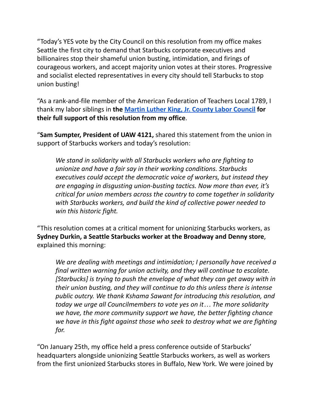"Today's YES vote by the City Council on this resolution from my office makes Seattle the first city to demand that Starbucks corporate executives and billionaires stop their shameful union busting, intimidation, and firings of courageous workers, and accept majority union votes at their stores. Progressive and socialist elected representatives in every city should tell Starbucks to stop union busting!

"As a rank-and-file member of the American Federation of Teachers Local 1789, I thank my labor siblings in **the Martin Luther King, Jr. County Labor [Council](https://sawant.seattle.gov/mlk-labor-endorsement-of-starbucks-resolution/) for their full support of this resolution from my office**.

"**Sam Sumpter, President of UAW 4121,** shared this statement from the union in support of Starbucks workers and today's resolution:

*We stand in solidarity with all Starbucks workers who are fighting to unionize and have a fair say in their working conditions. Starbucks executives could accept the democratic voice of workers, but instead they are engaging in disgusting union-busting tactics. Now more than ever, it's critical for union members across the country to come together in solidarity with Starbucks workers, and build the kind of collective power needed to win this historic fight.*

"This resolution comes at a critical moment for unionizing Starbucks workers, as **Sydney Durkin, a Seattle Starbucks worker at the Broadway and Denny store**, explained this morning:

*We are dealing with meetings and intimidation; I personally have received a final written warning for union activity, and they will continue to escalate. [Starbucks] is trying to push the envelope of what they can get away with in their union busting, and they will continue to do this unless there is intense public outcry. We thank Kshama Sawant for introducing this resolution, and today we urge all Councilmembers to vote yes on it… The more solidarity we have, the more community support we have, the better fighting chance we have in this fight against those who seek to destroy what we are fighting for.*

"On January 25th, my office held a press conference outside of Starbucks' headquarters alongside unionizing Seattle Starbucks workers, as well as workers from the first unionized Starbucks stores in Buffalo, New York. We were joined by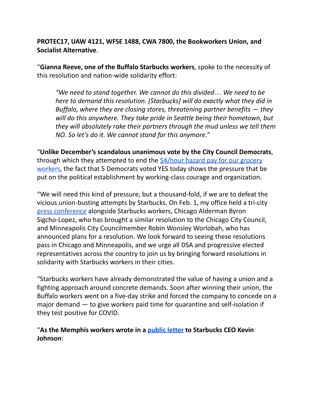**PROTEC17, UAW 4121, WFSE 1488, CWA 7800, the Bookworkers Union, and Socialist Alternative**.

"**Gianna Reeve, one of the Buffalo Starbucks workers**, spoke to the necessity of this resolution and nation-wide solidarity effort:

*"We need to stand together. We cannot do this divided… We need to be here to demand this resolution. [Starbucks] will do exactly what they did in Buffalo, where they are closing stores, threatening partner benefits — they will do this anywhere. They take pride in Seattle being their hometown, but they will absolutely rake their partners through the mud unless we tell them NO. So let's do it. We cannot stand for this anymore."*

"**Unlike December's scandalous unanimous vote by the City Council Democrats**, through which they attempted to end the  $$4/hour hazard$  $$4/hour hazard$  pay for our grocery [workers](https://mailchi.mp/seattle/tell-city-council-dont-you-dare-cut-grocery-worker-hazard-pay), the fact that 5 Democrats voted YES today shows the pressure that be put on the political establishment by working-class courage and organization.

"We will need this kind of pressure, but a thousand-fold, if we are to defeat the vicious union-busting attempts by Starbucks. On Feb. 1, my office held a tri-city press [conference](https://fb.watch/b2C19b5yBH/) alongside Starbucks workers, Chicago Alderman Byron Sigcho-Lopez, who has brought a similar resolution to the Chicago City Council, and Minneapolis City Councilmember Robin Wonsley Worlobah, who has announced plans for a resolution. We look forward to seeing these resolutions pass in Chicago and Minneapolis, and we urge all DSA and progressive elected representatives across the country to join us by bringing forward resolutions in solidarity with Starbucks workers in their cities.

"Starbucks workers have already demonstrated the value of having a union and a fighting approach around concrete demands. Soon after winning their union, the Buffalo workers went on a five-day strike and forced the company to concede on a major demand — to give workers paid time for quarantine and self-isolation if they test positive for COVID.

"**As the Memphis workers wrote in a [public](https://twitter.com/MRWU901/status/1483309447967649794) letter to Starbucks CEO Kevin Johnson**: